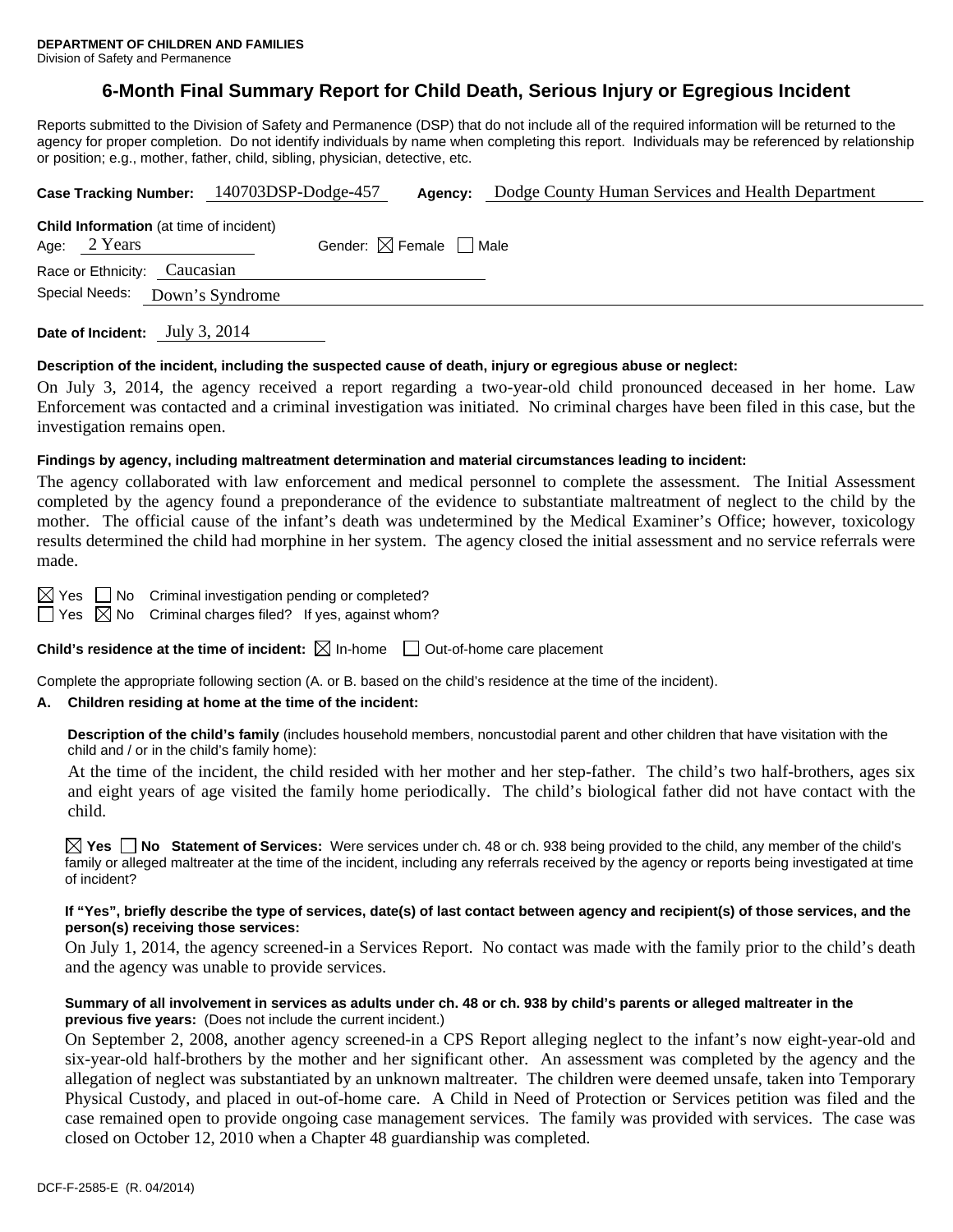## **6-Month Final Summary Report for Child Death, Serious Injury or Egregious Incident**

Reports submitted to the Division of Safety and Permanence (DSP) that do not include all of the required information will be returned to the agency for proper completion. Do not identify individuals by name when completing this report. Individuals may be referenced by relationship or position; e.g., mother, father, child, sibling, physician, detective, etc.

| Case Tracking Number: 140703DSP-Dodge-457                                                                |                                                |  |                 |  | Agency: | Dodge County Human Services and Health Department |  |  |  |
|----------------------------------------------------------------------------------------------------------|------------------------------------------------|--|-----------------|--|---------|---------------------------------------------------|--|--|--|
| <b>Child Information</b> (at time of incident)<br>Gender: $\boxtimes$ Female $\Box$ Male<br>Age: 2 Years |                                                |  |                 |  |         |                                                   |  |  |  |
|                                                                                                          | Race or Ethnicity: Caucasian<br>Special Needs: |  | Down's Syndrome |  |         |                                                   |  |  |  |
|                                                                                                          |                                                |  |                 |  |         |                                                   |  |  |  |

**Date of Incident:** July 3, 2014

#### **Description of the incident, including the suspected cause of death, injury or egregious abuse or neglect:**

On July 3, 2014, the agency received a report regarding a two-year-old child pronounced deceased in her home. Law Enforcement was contacted and a criminal investigation was initiated. No criminal charges have been filed in this case, but the investigation remains open.

### **Findings by agency, including maltreatment determination and material circumstances leading to incident:**

The agency collaborated with law enforcement and medical personnel to complete the assessment. The Initial Assessment completed by the agency found a preponderance of the evidence to substantiate maltreatment of neglect to the child by the mother. The official cause of the infant's death was undetermined by the Medical Examiner's Office; however, toxicology results determined the child had morphine in her system. The agency closed the initial assessment and no service referrals were made.

 $\boxtimes$  Yes  $\Box$  No Criminal investigation pending or completed?

 $\Box$  Yes  $\boxtimes$  No Criminal charges filed? If yes, against whom?

**Child's residence at the time of incident:**  $\boxtimes$  In-home  $\Box$  Out-of-home care placement

Complete the appropriate following section (A. or B. based on the child's residence at the time of the incident).

## **A. Children residing at home at the time of the incident:**

**Description of the child's family** (includes household members, noncustodial parent and other children that have visitation with the child and / or in the child's family home):

 At the time of the incident, the child resided with her mother and her step-father. The child's two half-brothers, ages six and eight years of age visited the family home periodically. The child's biological father did not have contact with the child.

**Yes No Statement of Services:** Were services under ch. 48 or ch. 938 being provided to the child, any member of the child's family or alleged maltreater at the time of the incident, including any referrals received by the agency or reports being investigated at time of incident?

#### **If "Yes", briefly describe the type of services, date(s) of last contact between agency and recipient(s) of those services, and the person(s) receiving those services:**

On July 1, 2014, the agency screened-in a Services Report. No contact was made with the family prior to the child's death and the agency was unable to provide services.

#### **Summary of all involvement in services as adults under ch. 48 or ch. 938 by child's parents or alleged maltreater in the previous five years:** (Does not include the current incident.)

On September 2, 2008, another agency screened-in a CPS Report alleging neglect to the infant's now eight-year-old and six-year-old half-brothers by the mother and her significant other. An assessment was completed by the agency and the allegation of neglect was substantiated by an unknown maltreater. The children were deemed unsafe, taken into Temporary Physical Custody, and placed in out-of-home care. A Child in Need of Protection or Services petition was filed and the case remained open to provide ongoing case management services. The family was provided with services. The case was closed on October 12, 2010 when a Chapter 48 guardianship was completed.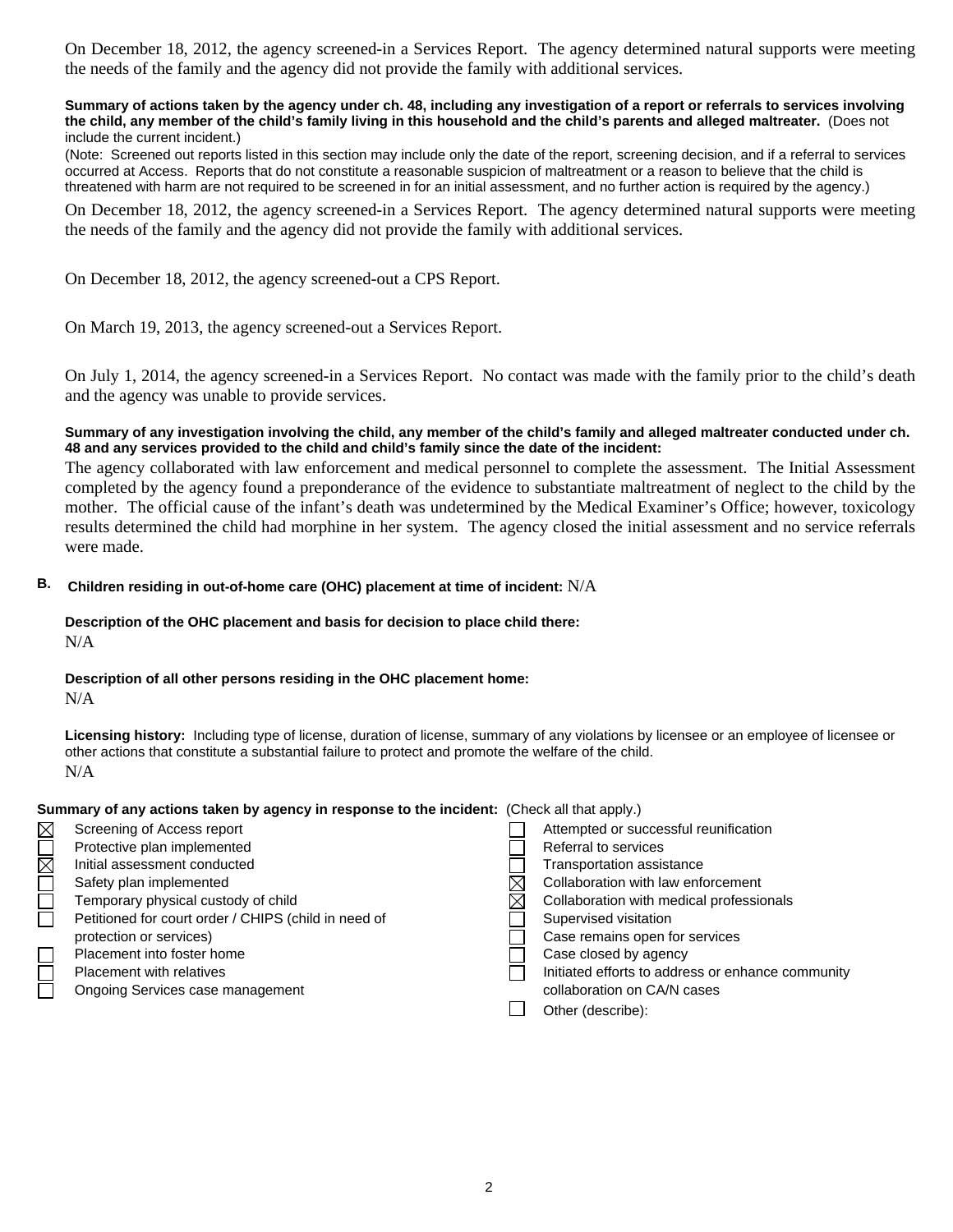On December 18, 2012, the agency screened-in a Services Report. The agency determined natural supports were meeting the needs of the family and the agency did not provide the family with additional services.

#### **Summary of actions taken by the agency under ch. 48, including any investigation of a report or referrals to services involving the child, any member of the child's family living in this household and the child's parents and alleged maltreater.** (Does not include the current incident.)

(Note: Screened out reports listed in this section may include only the date of the report, screening decision, and if a referral to services occurred at Access. Reports that do not constitute a reasonable suspicion of maltreatment or a reason to believe that the child is threatened with harm are not required to be screened in for an initial assessment, and no further action is required by the agency.)

On December 18, 2012, the agency screened-in a Services Report. The agency determined natural supports were meeting the needs of the family and the agency did not provide the family with additional services.

On December 18, 2012, the agency screened-out a CPS Report.

On March 19, 2013, the agency screened-out a Services Report.

On July 1, 2014, the agency screened-in a Services Report. No contact was made with the family prior to the child's death and the agency was unable to provide services.

## **Summary of any investigation involving the child, any member of the child's family and alleged maltreater conducted under ch. 48 and any services provided to the child and child's family since the date of the incident:**

The agency collaborated with law enforcement and medical personnel to complete the assessment. The Initial Assessment completed by the agency found a preponderance of the evidence to substantiate maltreatment of neglect to the child by the mother. The official cause of the infant's death was undetermined by the Medical Examiner's Office; however, toxicology results determined the child had morphine in her system. The agency closed the initial assessment and no service referrals were made.

## **B. Children residing in out-of-home care (OHC) placement at time of incident:** N/A

#### **Description of the OHC placement and basis for decision to place child there:**  N/A

# **Description of all other persons residing in the OHC placement home:**

## N/A

**Licensing history:** Including type of license, duration of license, summary of any violations by licensee or an employee of licensee or other actions that constitute a substantial failure to protect and promote the welfare of the child. N/A

## **Summary of any actions taken by agency in response to the incident:** (Check all that apply.)

| $\boxtimes$ | Screening of Access report                           | Attempted or successful reunification             |
|-------------|------------------------------------------------------|---------------------------------------------------|
|             | Protective plan implemented                          | Referral to services                              |
| $\boxtimes$ | Initial assessment conducted                         | Transportation assistance                         |
|             | Safety plan implemented                              | Collaboration with law enforcement                |
|             | Temporary physical custody of child                  | Collaboration with medical professionals          |
|             | Petitioned for court order / CHIPS (child in need of | Supervised visitation                             |
|             | protection or services)                              | Case remains open for services                    |
|             | Placement into foster home                           | Case closed by agency                             |
|             | Placement with relatives                             | Initiated efforts to address or enhance community |
|             | Ongoing Services case management                     | collaboration on CA/N cases                       |
|             |                                                      | Other (describe):                                 |